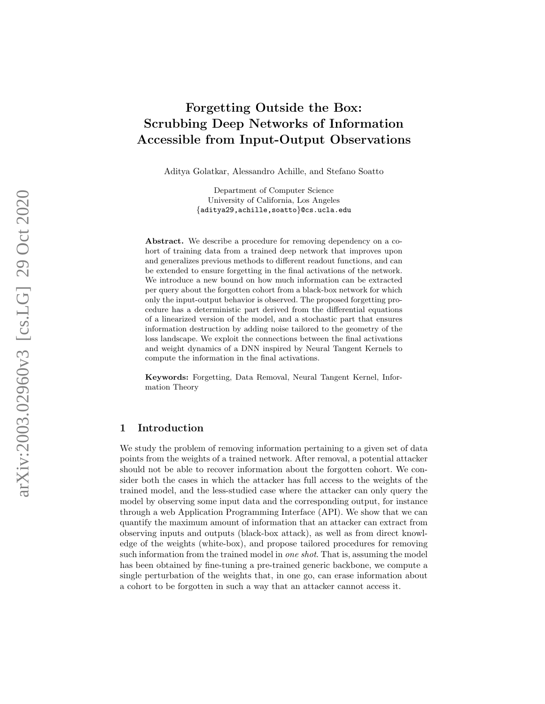# Forgetting Outside the Box: Scrubbing Deep Networks of Information Accessible from Input-Output Observations

Aditya Golatkar, Alessandro Achille, and Stefano Soatto

Department of Computer Science University of California, Los Angeles {aditya29,achille,soatto }@cs.ucla.edu

Abstract. We describe a procedure for removing dependency on a cohort of training data from a trained deep network that improves upon and generalizes previous methods to different readout functions, and can be extended to ensure forgetting in the final activations of the network. We introduce a new bound on how much information can be extracted per query about the forgotten cohort from a black-box network for which only the input-output behavior is observed. The proposed forgetting procedure has a deterministic part derived from the differential equations of a linearized version of the model, and a stochastic part that ensures information destruction by adding noise tailored to the geometry of the loss landscape. We exploit the connections between the final activations and weight dynamics of a DNN inspired by Neural Tangent Kernels to compute the information in the final activations.

Keywords: Forgetting, Data Removal, Neural Tangent Kernel, Information Theory

# <span id="page-0-0"></span>1 Introduction

We study the problem of removing information pertaining to a given set of data points from the weights of a trained network. After removal, a potential attacker should not be able to recover information about the forgotten cohort. We consider both the cases in which the attacker has full access to the weights of the trained model, and the less-studied case where the attacker can only query the model by observing some input data and the corresponding output, for instance through a web Application Programming Interface (API). We show that we can quantify the maximum amount of information that an attacker can extract from observing inputs and outputs (black-box attack), as well as from direct knowledge of the weights (white-box), and propose tailored procedures for removing such information from the trained model in *one shot*. That is, assuming the model has been obtained by fine-tuning a pre-trained generic backbone, we compute a single perturbation of the weights that, in one go, can erase information about a cohort to be forgotten in such a way that an attacker cannot access it.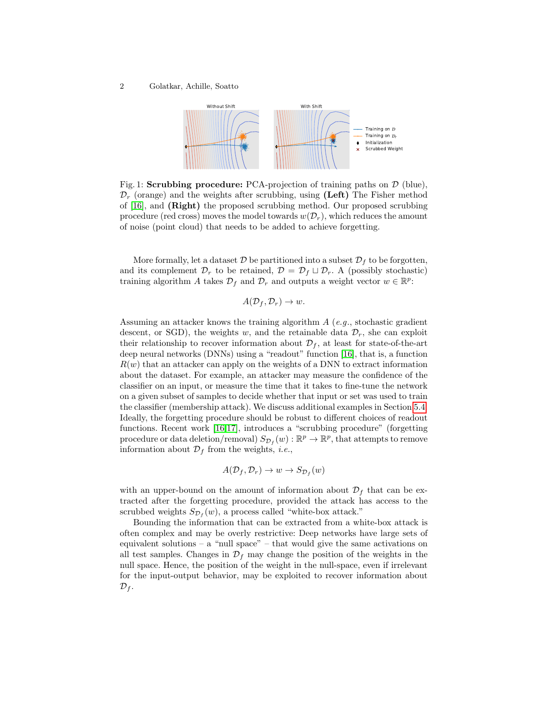<span id="page-1-0"></span>

Fig. 1: Scrubbing procedure: PCA-projection of training paths on  $\mathcal{D}$  (blue),  $\mathcal{D}_r$  (orange) and the weights after scrubbing, using (Left) The Fisher method of [\[16\]](#page-14-0), and (Right) the proposed scrubbing method. Our proposed scrubbing procedure (red cross) moves the model towards  $w(\mathcal{D}_r)$ , which reduces the amount of noise (point cloud) that needs to be added to achieve forgetting.

More formally, let a dataset  $\mathcal D$  be partitioned into a subset  $\mathcal D_f$  to be forgotten, and its complement  $\mathcal{D}_r$  to be retained,  $\mathcal{D} = \mathcal{D}_f \sqcup \mathcal{D}_r$ . A (possibly stochastic) training algorithm A takes  $\mathcal{D}_f$  and  $\mathcal{D}_r$  and outputs a weight vector  $w \in \mathbb{R}^p$ :

 $A(\mathcal{D}_f, \mathcal{D}_r) \to w.$ 

Assuming an attacker knows the training algorithm  $A$  (e.g., stochastic gradient descent, or SGD), the weights w, and the retainable data  $\mathcal{D}_r$ , she can exploit their relationship to recover information about  $\mathcal{D}_f$ , at least for state-of-the-art deep neural networks (DNNs) using a "readout" function [\[16\]](#page-14-0), that is, a function  $R(w)$  that an attacker can apply on the weights of a DNN to extract information about the dataset. For example, an attacker may measure the confidence of the classifier on an input, or measure the time that it takes to fine-tune the network on a given subset of samples to decide whether that input or set was used to train the classifier (membership attack). We discuss additional examples in Section [5.4.](#page-10-0) Ideally, the forgetting procedure should be robust to different choices of readout functions. Recent work [\[16,](#page-14-0)[17\]](#page-14-1), introduces a "scrubbing procedure" (forgetting procedure or data deletion/removal)  $S_{\mathcal{D}_f}(w): \mathbb{R}^p \to \mathbb{R}^p$ , that attempts to remove information about  $\mathcal{D}_f$  from the weights, *i.e.*,

$$
A(\mathcal{D}_f, \mathcal{D}_r) \to w \to S_{\mathcal{D}_f}(w)
$$

with an upper-bound on the amount of information about  $\mathcal{D}_f$  that can be extracted after the forgetting procedure, provided the attack has access to the scrubbed weights  $S_{\mathcal{D}_f}(w)$ , a process called "white-box attack."

Bounding the information that can be extracted from a white-box attack is often complex and may be overly restrictive: Deep networks have large sets of equivalent solutions – a "null space" – that would give the same activations on all test samples. Changes in  $\mathcal{D}_f$  may change the position of the weights in the null space. Hence, the position of the weight in the null-space, even if irrelevant for the input-output behavior, may be exploited to recover information about  $\mathcal{D}_f$ .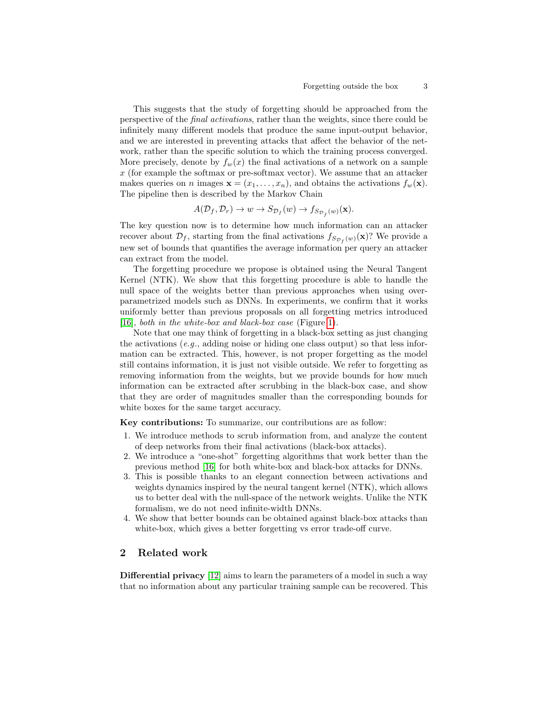This suggests that the study of forgetting should be approached from the perspective of the final activations, rather than the weights, since there could be infinitely many different models that produce the same input-output behavior, and we are interested in preventing attacks that affect the behavior of the network, rather than the specific solution to which the training process converged. More precisely, denote by  $f_w(x)$  the final activations of a network on a sample  $x$  (for example the softmax or pre-softmax vector). We assume that an attacker makes queries on n images  $\mathbf{x} = (x_1, \ldots, x_n)$ , and obtains the activations  $f_w(\mathbf{x})$ . The pipeline then is described by the Markov Chain

$$
A(\mathcal{D}_f, \mathcal{D}_r) \to w \to S_{\mathcal{D}_f}(w) \to f_{S_{\mathcal{D}_f}(w)}(\mathbf{x}).
$$

The key question now is to determine how much information can an attacker recover about  $\mathcal{D}_f$ , starting from the final activations  $f_{S_{\mathcal{D}_f}(w)}(\mathbf{x})$ ? We provide a new set of bounds that quantifies the average information per query an attacker can extract from the model.

The forgetting procedure we propose is obtained using the Neural Tangent Kernel (NTK). We show that this forgetting procedure is able to handle the null space of the weights better than previous approaches when using overparametrized models such as DNNs. In experiments, we confirm that it works uniformly better than previous proposals on all forgetting metrics introduced [\[16\]](#page-14-0), both in the white-box and black-box case (Figure [1\)](#page-1-0).

Note that one may think of forgetting in a black-box setting as just changing the activations (e.g., adding noise or hiding one class output) so that less information can be extracted. This, however, is not proper forgetting as the model still contains information, it is just not visible outside. We refer to forgetting as removing information from the weights, but we provide bounds for how much information can be extracted after scrubbing in the black-box case, and show that they are order of magnitudes smaller than the corresponding bounds for white boxes for the same target accuracy.

Key contributions: To summarize, our contributions are as follow:

- 1. We introduce methods to scrub information from, and analyze the content of deep networks from their final activations (black-box attacks).
- 2. We introduce a "one-shot" forgetting algorithms that work better than the previous method [\[16\]](#page-14-0) for both white-box and black-box attacks for DNNs.
- 3. This is possible thanks to an elegant connection between activations and weights dynamics inspired by the neural tangent kernel (NTK), which allows us to better deal with the null-space of the network weights. Unlike the NTK formalism, we do not need infinite-width DNNs.
- 4. We show that better bounds can be obtained against black-box attacks than white-box, which gives a better forgetting vs error trade-off curve.

### 2 Related work

Differential privacy [\[12\]](#page-14-2) aims to learn the parameters of a model in such a way that no information about any particular training sample can be recovered. This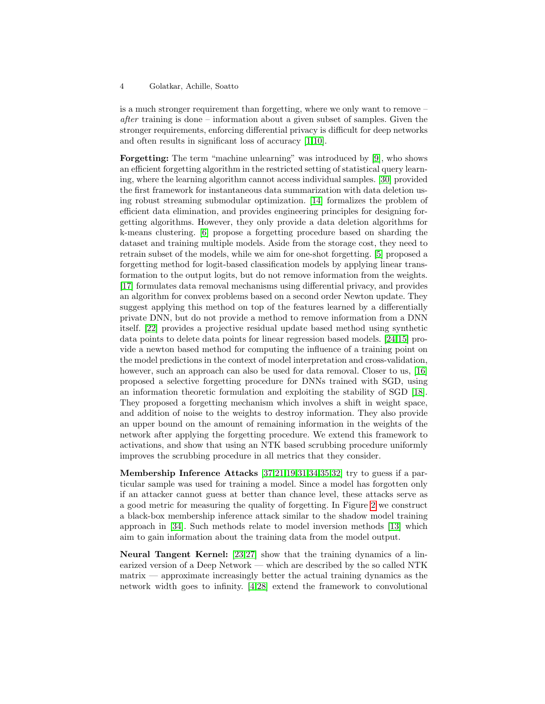#### 4 Golatkar, Achille, Soatto

is a much stronger requirement than forgetting, where we only want to remove – after training is done – information about a given subset of samples. Given the stronger requirements, enforcing differential privacy is difficult for deep networks and often results in significant loss of accuracy [\[1,](#page-14-3)[10\]](#page-14-4).

Forgetting: The term "machine unlearning" was introduced by [\[9\]](#page-14-5), who shows an efficient forgetting algorithm in the restricted setting of statistical query learning, where the learning algorithm cannot access individual samples. [\[30\]](#page-15-0) provided the first framework for instantaneous data summarization with data deletion using robust streaming submodular optimization. [\[14\]](#page-14-6) formalizes the problem of efficient data elimination, and provides engineering principles for designing forgetting algorithms. However, they only provide a data deletion algorithms for k-means clustering. [\[6\]](#page-14-7) propose a forgetting procedure based on sharding the dataset and training multiple models. Aside from the storage cost, they need to retrain subset of the models, while we aim for one-shot forgetting. [\[5\]](#page-14-8) proposed a forgetting method for logit-based classification models by applying linear transformation to the output logits, but do not remove information from the weights. [\[17\]](#page-14-1) formulates data removal mechanisms using differential privacy, and provides an algorithm for convex problems based on a second order Newton update. They suggest applying this method on top of the features learned by a differentially private DNN, but do not provide a method to remove information from a DNN itself. [\[22\]](#page-15-1) provides a projective residual update based method using synthetic data points to delete data points for linear regression based models. [\[24,](#page-15-2)[15\]](#page-14-9) provide a newton based method for computing the influence of a training point on the model predictions in the context of model interpretation and cross-validation, however, such an approach can also be used for data removal. Closer to us, [\[16\]](#page-14-0) proposed a selective forgetting procedure for DNNs trained with SGD, using an information theoretic formulation and exploiting the stability of SGD [\[18\]](#page-14-10). They proposed a forgetting mechanism which involves a shift in weight space, and addition of noise to the weights to destroy information. They also provide an upper bound on the amount of remaining information in the weights of the network after applying the forgetting procedure. We extend this framework to activations, and show that using an NTK based scrubbing procedure uniformly improves the scrubbing procedure in all metrics that they consider.

Membership Inference Attacks [\[37](#page-15-3)[,21,](#page-15-4)[19,](#page-14-11)[31](#page-15-5)[,34](#page-15-6)[,35,](#page-15-7)[32\]](#page-15-8) try to guess if a particular sample was used for training a model. Since a model has forgotten only if an attacker cannot guess at better than chance level, these attacks serve as a good metric for measuring the quality of forgetting. In Figure [2](#page-10-1) we construct a black-box membership inference attack similar to the shadow model training approach in [\[34\]](#page-15-6). Such methods relate to model inversion methods [\[13\]](#page-14-12) which aim to gain information about the training data from the model output.

Neural Tangent Kernel: [\[23,](#page-15-9)[27\]](#page-15-10) show that the training dynamics of a linearized version of a Deep Network — which are described by the so called NTK matrix — approximate increasingly better the actual training dynamics as the network width goes to infinity. [\[4,](#page-14-13)[28\]](#page-15-11) extend the framework to convolutional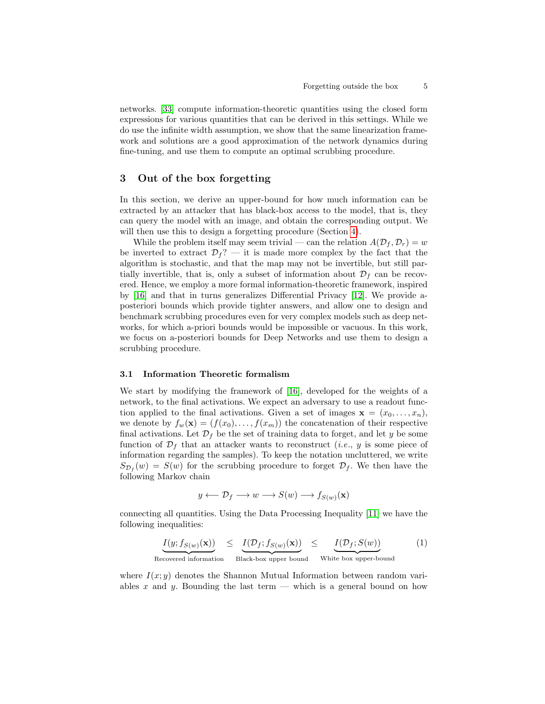networks. [\[33\]](#page-15-12) compute information-theoretic quantities using the closed form expressions for various quantities that can be derived in this settings. While we do use the infinite width assumption, we show that the same linearization framework and solutions are a good approximation of the network dynamics during fine-tuning, and use them to compute an optimal scrubbing procedure.

# 3 Out of the box forgetting

In this section, we derive an upper-bound for how much information can be extracted by an attacker that has black-box access to the model, that is, they can query the model with an image, and obtain the corresponding output. We will then use this to design a forgetting procedure (Section [4\)](#page-7-0).

While the problem itself may seem trivial — can the relation  $A(\mathcal{D}_f, \mathcal{D}_r) = w$ be inverted to extract  $\mathcal{D}_f$ ? — it is made more complex by the fact that the algorithm is stochastic, and that the map may not be invertible, but still partially invertible, that is, only a subset of information about  $\mathcal{D}_f$  can be recovered. Hence, we employ a more formal information-theoretic framework, inspired by [\[16\]](#page-14-0) and that in turns generalizes Differential Privacy [\[12\]](#page-14-2). We provide aposteriori bounds which provide tighter answers, and allow one to design and benchmark scrubbing procedures even for very complex models such as deep networks, for which a-priori bounds would be impossible or vacuous. In this work, we focus on a-posteriori bounds for Deep Networks and use them to design a scrubbing procedure.

#### <span id="page-4-0"></span>3.1 Information Theoretic formalism

We start by modifying the framework of [\[16\]](#page-14-0), developed for the weights of a network, to the final activations. We expect an adversary to use a readout function applied to the final activations. Given a set of images  $\mathbf{x} = (x_0, \ldots, x_n)$ , we denote by  $f_w(\mathbf{x}) = (f(x_0), \ldots, f(x_m))$  the concatenation of their respective final activations. Let  $\mathcal{D}_f$  be the set of training data to forget, and let y be some function of  $\mathcal{D}_f$  that an attacker wants to reconstruct (*i.e.*, *y* is some piece of information regarding the samples). To keep the notation uncluttered, we write  $S_{\mathcal{D}_f}(w) = S(w)$  for the scrubbing procedure to forget  $\mathcal{D}_f$ . We then have the following Markov chain

$$
y \longleftarrow \mathcal{D}_f \longrightarrow w \longrightarrow S(w) \longrightarrow f_{S(w)}(\mathbf{x})
$$

connecting all quantities. Using the Data Processing Inequality [\[11\]](#page-14-14) we have the following inequalities:

$$
\underbrace{I(y; f_{S(w)}(\mathbf{x}))}_{\text{Recovered information}} \leq \underbrace{I(\mathcal{D}_f; f_{S(w)}(\mathbf{x}))}_{\text{Black-box upper bound}} \leq \underbrace{I(\mathcal{D}_f; S(w))}_{\text{White box upper-bound}} \tag{1}
$$

where  $I(x; y)$  denotes the Shannon Mutual Information between random variables x and y. Bounding the last term — which is a general bound on how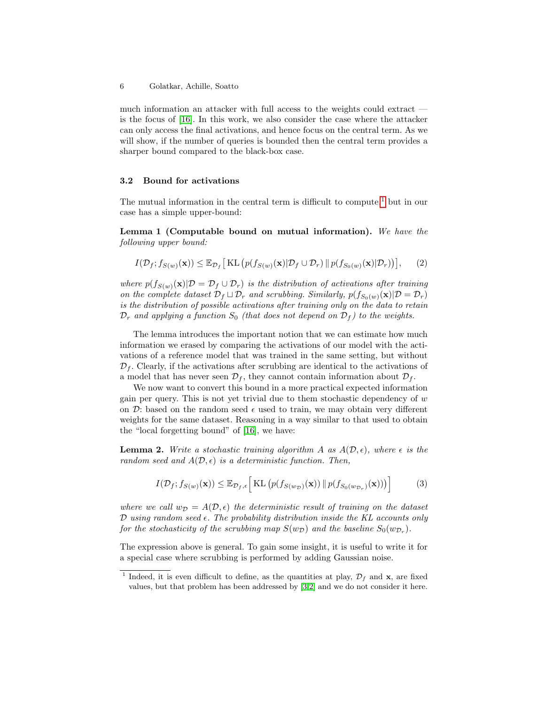much information an attacker with full access to the weights could extract is the focus of [\[16\]](#page-14-0). In this work, we also consider the case where the attacker can only access the final activations, and hence focus on the central term. As we will show, if the number of queries is bounded then the central term provides a sharper bound compared to the black-box case.

### 3.2 Bound for activations

The mutual information in the central term is difficult to compute,<sup>[1](#page-5-0)</sup> but in our case has a simple upper-bound:

Lemma 1 (Computable bound on mutual information). We have the following upper bound:

$$
I(\mathcal{D}_f; f_{S(w)}(\mathbf{x})) \leq \mathbb{E}_{\mathcal{D}_f} \big[ \text{KL} \big( p(f_{S(w)}(\mathbf{x}) | \mathcal{D}_f \cup \mathcal{D}_r) \, \| \, p(f_{S_0(w)}(\mathbf{x}) | \mathcal{D}_r) \big) \big],\tag{2}
$$

where  $p(f_{S(w)}(\mathbf{x})|\mathcal{D}=\mathcal{D}_f\cup\mathcal{D}_r)$  is the distribution of activations after training on the complete dataset  $\mathcal{D}_f \sqcup \mathcal{D}_r$  and scrubbing. Similarly,  $p(f_{S_0(w)}(\mathbf{x})|\mathcal{D} = \mathcal{D}_r)$ is the distribution of possible activations after training only on the data to retain  $\mathcal{D}_r$  and applying a function  $S_0$  (that does not depend on  $\mathcal{D}_f$ ) to the weights.

The lemma introduces the important notion that we can estimate how much information we erased by comparing the activations of our model with the activations of a reference model that was trained in the same setting, but without  $\mathcal{D}_f$ . Clearly, if the activations after scrubbing are identical to the activations of a model that has never seen  $\mathcal{D}_f$ , they cannot contain information about  $\mathcal{D}_f$ .

We now want to convert this bound in a more practical expected information gain per query. This is not yet trivial due to them stochastic dependency of  $w$ on  $\mathcal{D}$ : based on the random seed  $\epsilon$  used to train, we may obtain very different weights for the same dataset. Reasoning in a way similar to that used to obtain the "local forgetting bound" of [\[16\]](#page-14-0), we have:

**Lemma 2.** Write a stochastic training algorithm A as  $A(D, \epsilon)$ , where  $\epsilon$  is the random seed and  $A(D, \epsilon)$  is a deterministic function. Then,

<span id="page-5-1"></span>
$$
I(\mathcal{D}_f; f_{S(w)}(\mathbf{x})) \leq \mathbb{E}_{\mathcal{D}_f,\epsilon} \Big[ \mathrm{KL} \left( p(f_{S(w_{\mathcal{D}})}(\mathbf{x})) \, \| \, p(f_{S_0(w_{\mathcal{D}_r})}(\mathbf{x})) \right) \Big] \tag{3}
$$

where we call  $w_{\mathcal{D}} = A(\mathcal{D}, \epsilon)$  the deterministic result of training on the dataset  $\mathcal D$  using random seed  $\epsilon$ . The probability distribution inside the KL accounts only for the stochasticity of the scrubbing map  $S(w_{\mathcal{D}})$  and the baseline  $S_0(w_{\mathcal{D}_r})$ .

The expression above is general. To gain some insight, it is useful to write it for a special case where scrubbing is performed by adding Gaussian noise.

<span id="page-5-0"></span><sup>&</sup>lt;sup>1</sup> Indeed, it is even difficult to define, as the quantities at play,  $\mathcal{D}_f$  and **x**, are fixed values, but that problem has been addressed by [\[3,](#page-14-15)[2\]](#page-14-16) and we do not consider it here.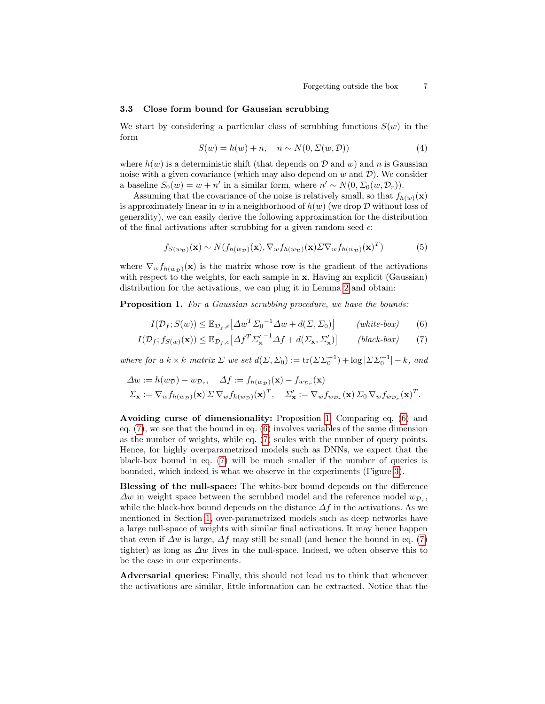#### 3.3 Close form bound for Gaussian scrubbing

We start by considering a particular class of scrubbing functions  $S(w)$  in the form

<span id="page-6-3"></span>
$$
S(w) = h(w) + n, \quad n \sim N(0, \Sigma(w, \mathcal{D}))
$$
\n<sup>(4)</sup>

where  $h(w)$  is a deterministic shift (that depends on D and w) and n is Gaussian noise with a given covariance (which may also depend on  $w$  and  $\mathcal{D}$ ). We consider a baseline  $S_0(w) = w + n'$  in a similar form, where  $n' \sim N(0, \Sigma_0(w, \mathcal{D}_r))$ .

Assuming that the covariance of the noise is relatively small, so that  $f_{h(w)}(\mathbf{x})$ is approximately linear in w in a neighborhood of  $h(w)$  (we drop  $D$  without loss of generality), we can easily derive the following approximation for the distribution of the final activations after scrubbing for a given random seed  $\epsilon$ .

<span id="page-6-4"></span><span id="page-6-2"></span><span id="page-6-1"></span><span id="page-6-0"></span>
$$
f_{S(w_{\mathcal{D}})}(\mathbf{x}) \sim N(f_{h(w_{\mathcal{D}})}(\mathbf{x}), \nabla_w f_{h(w_{\mathcal{D}})}(\mathbf{x}) \Sigma \nabla_w f_{h(w_{\mathcal{D}})}(\mathbf{x})^T)
$$
(5)

where  $\nabla_w f_{h(w_D)}(\mathbf{x})$  is the matrix whose row is the gradient of the activations with respect to the weights, for each sample in  $x$ . Having an explicit (Gaussian) distribution for the activations, we can plug it in Lemma [2](#page-5-1) and obtain:

**Proposition 1.** For a Gaussian scrubbing procedure, we have the bounds:

$$
I(\mathcal{D}_f; S(w)) \leq \mathbb{E}_{\mathcal{D}_f, \epsilon} \left[ \Delta w^T \Sigma_0^{-1} \Delta w + d(\Sigma, \Sigma_0) \right] \qquad \text{(white-box)} \tag{6}
$$

$$
I(\mathcal{D}_f; f_{S(w)}(\mathbf{x})) \leq \mathbb{E}_{\mathcal{D}_f, \epsilon} \left[ \Delta f^T \Sigma_{\mathbf{x}}^{\prime -1} \Delta f + d(\Sigma_{\mathbf{x}}, \Sigma_{\mathbf{x}}^{\prime}) \right] \qquad (black-box) \tag{7}
$$

where for a  $k \times k$  matrix  $\Sigma$  we set  $d(\Sigma, \Sigma_0) := \text{tr}(\Sigma \Sigma_0^{-1}) + \log |\Sigma \Sigma_0^{-1}| - k$ , and

$$
\Delta w := h(w_{\mathcal{D}}) - w_{\mathcal{D}_r}, \quad \Delta f := f_{h(w_{\mathcal{D}})}(\mathbf{x}) - f_{w_{\mathcal{D}_r}}(\mathbf{x})
$$
  

$$
\Sigma_{\mathbf{x}} := \nabla_w f_{h(w_{\mathcal{D}})}(\mathbf{x}) \Sigma \nabla_w f_{h(w_{\mathcal{D}})}(\mathbf{x})^T, \quad \Sigma_{\mathbf{x}}' := \nabla_w f_{w_{\mathcal{D}_r}}(\mathbf{x}) \Sigma_0 \nabla_w f_{w_{\mathcal{D}_r}}(\mathbf{x})^T.
$$

Avoiding curse of dimensionality: Proposition [1.](#page-6-0) Comparing eq. [\(6\)](#page-6-1) and eq. [\(7\)](#page-6-2), we see that the bound in eq. [\(6\)](#page-6-1) involves variables of the same dimension as the number of weights, while eq. [\(7\)](#page-6-2) scales with the number of query points. Hence, for highly overparametrized models such as DNNs, we expect that the black-box bound in eq. [\(7\)](#page-6-2) will be much smaller if the number of queries is bounded, which indeed is what we observe in the experiments (Figure [3\)](#page-11-0).

Blessing of the null-space: The white-box bound depends on the difference  $\Delta w$  in weight space between the scrubbed model and the reference model  $w_{\mathcal{D}_r}$ , while the black-box bound depends on the distance  $\Delta f$  in the activations. As we mentioned in Section [1,](#page-0-0) over-parametrized models such as deep networks have a large null-space of weights with similar final activations. It may hence happen that even if  $\Delta w$  is large,  $\Delta f$  may still be small (and hence the bound in eq. [\(7\)](#page-6-2) tighter) as long as  $\Delta w$  lives in the null-space. Indeed, we often observe this to be the case in our experiments.

Adversarial queries: Finally, this should not lead us to think that whenever the activations are similar, little information can be extracted. Notice that the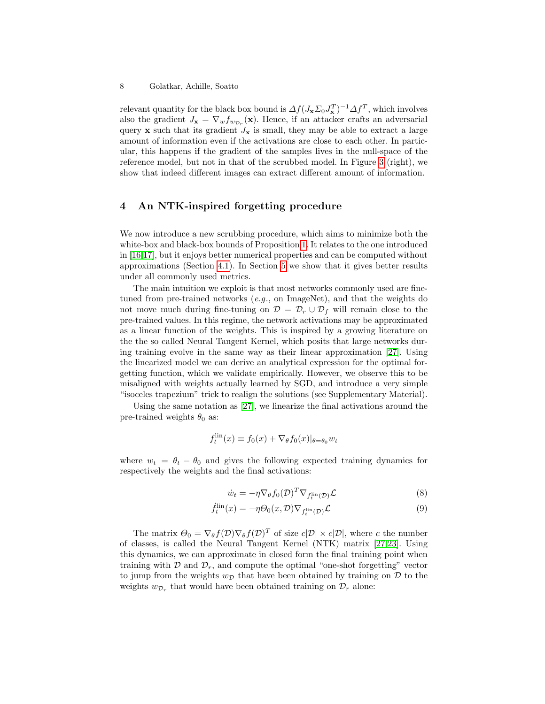relevant quantity for the black box bound is  $\Delta f (J_x \Sigma_0 J_x^T)^{-1} \Delta f^T$ , which involves also the gradient  $J_{\mathbf{x}} = \nabla_w f_{w_{\mathcal{D}_r}}(\mathbf{x})$ . Hence, if an attacker crafts an adversarial query x such that its gradient  $J_x$  is small, they may be able to extract a large amount of information even if the activations are close to each other. In particular, this happens if the gradient of the samples lives in the null-space of the reference model, but not in that of the scrubbed model. In Figure [3](#page-11-0) (right), we show that indeed different images can extract different amount of information.

# <span id="page-7-0"></span>4 An NTK-inspired forgetting procedure

We now introduce a new scrubbing procedure, which aims to minimize both the white-box and black-box bounds of Proposition [1.](#page-6-0) It relates to the one introduced in [\[16](#page-14-0)[,17\]](#page-14-1), but it enjoys better numerical properties and can be computed without approximations (Section [4.1\)](#page-8-0). In Section [5](#page-9-0) we show that it gives better results under all commonly used metrics.

The main intuition we exploit is that most networks commonly used are finetuned from pre-trained networks  $(e.g., \text{ on ImageNet})$ , and that the weights do not move much during fine-tuning on  $\mathcal{D} = \mathcal{D}_r \cup \mathcal{D}_f$  will remain close to the pre-trained values. In this regime, the network activations may be approximated as a linear function of the weights. This is inspired by a growing literature on the the so called Neural Tangent Kernel, which posits that large networks during training evolve in the same way as their linear approximation [\[27\]](#page-15-10). Using the linearized model we can derive an analytical expression for the optimal forgetting function, which we validate empirically. However, we observe this to be misaligned with weights actually learned by SGD, and introduce a very simple "isoceles trapezium" trick to realign the solutions (see Supplementary Material).

Using the same notation as [\[27\]](#page-15-10), we linearize the final activations around the pre-trained weights  $\theta_0$  as:

$$
f_t^{\text{lin}}(x) \equiv f_0(x) + \nabla_{\theta} f_0(x)|_{\theta = \theta_0} w_t
$$

where  $w_t = \theta_t - \theta_0$  and gives the following expected training dynamics for respectively the weights and the final activations:

$$
\dot{w}_t = -\eta \nabla_{\theta} f_0(\mathcal{D})^T \nabla_{f_t^{\text{lin}}(\mathcal{D})} \mathcal{L}
$$
\n(8)

$$
\dot{f}_t^{\text{lin}}(x) = -\eta \Theta_0(x, \mathcal{D}) \nabla_{f_t^{\text{lin}}(\mathcal{D})} \mathcal{L}
$$
\n(9)

The matrix  $\Theta_0 = \nabla_{\theta} f(\mathcal{D}) \nabla_{\theta} f(\mathcal{D})^T$  of size  $c|\mathcal{D}| \times c|\mathcal{D}|$ , where c the number of classes, is called the Neural Tangent Kernel (NTK) matrix [\[27,](#page-15-10)[23\]](#page-15-9). Using this dynamics, we can approximate in closed form the final training point when training with  $\mathcal{D}$  and  $\mathcal{D}_r$ , and compute the optimal "one-shot forgetting" vector to jump from the weights  $w_{\mathcal{D}}$  that have been obtained by training on  $\mathcal D$  to the weights  $w_{\mathcal{D}_r}$  that would have been obtained training on  $\mathcal{D}_r$  alone: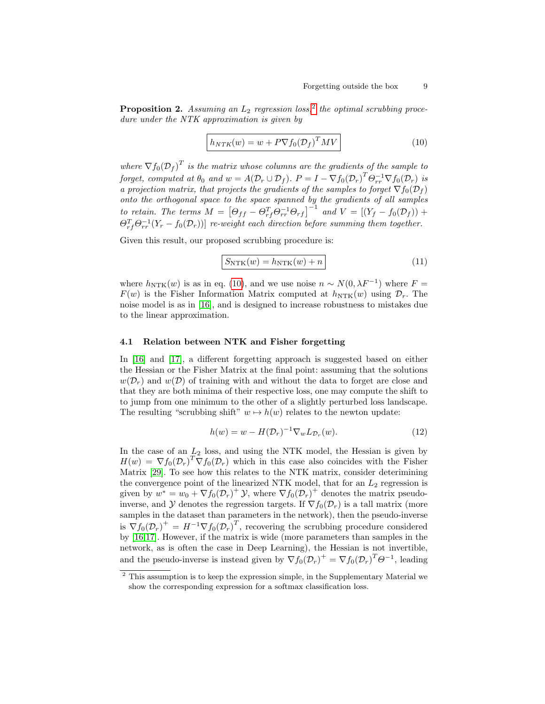**Proposition [2](#page-8-1).** Assuming an  $L_2$  regression loss,<sup>2</sup> the optimal scrubbing procedure under the NTK approximation is given by

<span id="page-8-2"></span>
$$
h_{NTK}(w) = w + P \nabla f_0(\mathcal{D}_f)^T MV
$$
\n(10)

where  $\nabla f_0(\mathcal{D}_f)^T$  is the matrix whose columns are the gradients of the sample to forget, computed at  $\theta_0$  and  $w = A(\mathcal{D}_r \cup \mathcal{D}_f)$ .  $P = I - \nabla f_0(\mathcal{D}_r)^T \Theta_{rr}^{-1} \nabla f_0(\mathcal{D}_r)$  is a projection matrix, that projects the gradients of the samples to forget  $\nabla f_0(\mathcal{D}_f)$ onto the orthogonal space to the space spanned by the gradients of all samples to retain. The terms  $M = \left[\Theta_{ff} - \Theta_{rf}^T \Theta_{rr}^{-1} \Theta_{rf}\right]^{-1}$  and  $V = \left[\left(Y_f - f_0(\mathcal{D}_f)\right) + \Theta_{ff}^T \Theta_{rf}\right]^{-1}$  $\Theta_{rf}^T\Theta_{rr}^{-1}(Y_r-f_0(\mathcal{D}_r))]$  re-weight each direction before summing them together.

Given this result, our proposed scrubbing procedure is:

$$
S_{\text{NTK}}(w) = h_{\text{NTK}}(w) + n
$$
\n(11)

where  $h_{\text{NTK}}(w)$  is as in eq. [\(10\)](#page-8-2), and we use noise  $n \sim N(0, \lambda F^{-1})$  where  $F =$  $F(w)$  is the Fisher Information Matrix computed at  $h_{\text{NTK}}(w)$  using  $\mathcal{D}_r$ . The noise model is as in [\[16\]](#page-14-0), and is designed to increase robustness to mistakes due to the linear approximation.

#### <span id="page-8-0"></span>4.1 Relation between NTK and Fisher forgetting

In [\[16\]](#page-14-0) and [\[17\]](#page-14-1), a different forgetting approach is suggested based on either the Hessian or the Fisher Matrix at the final point: assuming that the solutions  $w(\mathcal{D}_r)$  and  $w(\mathcal{D})$  of training with and without the data to forget are close and that they are both minima of their respective loss, one may compute the shift to to jump from one minimum to the other of a slightly perturbed loss landscape. The resulting "scrubbing shift"  $w \mapsto h(w)$  relates to the newton update:

$$
h(w) = w - H(\mathcal{D}_r)^{-1} \nabla_w L_{\mathcal{D}_r}(w).
$$
\n(12)

In the case of an  $L_2$  loss, and using the NTK model, the Hessian is given by  $H(w) = \nabla f_0(\mathcal{D}_r)^T \nabla f_0(\mathcal{D}_r)$  which in this case also coincides with the Fisher Matrix [\[29\]](#page-15-13). To see how this relates to the NTK matrix, consider deterimining the convergence point of the linearized NTK model, that for an  $L_2$  regression is given by  $w^* = w_0 + \nabla f_0(\mathcal{D}_r)^+ \mathcal{Y}$ , where  $\nabla f_0(\mathcal{D}_r)^+$  denotes the matrix pseudoinverse, and Y denotes the regression targets. If  $\nabla f_0(\mathcal{D}_r)$  is a tall matrix (more samples in the dataset than parameters in the network), then the pseudo-inverse is  $\nabla f_0(\mathcal{D}_r)^+ = H^{-1} \nabla f_0(\mathcal{D}_r)^T$ , recovering the scrubbing procedure considered by [\[16,](#page-14-0)[17\]](#page-14-1). However, if the matrix is wide (more parameters than samples in the network, as is often the case in Deep Learning), the Hessian is not invertible, and the pseudo-inverse is instead given by  $\nabla f_0(\mathcal{D}_r)^+ = \nabla f_0(\mathcal{D}_r)^T \Theta^{-1}$ , leading

<span id="page-8-1"></span><sup>&</sup>lt;sup>2</sup> This assumption is to keep the expression simple, in the Supplementary Material we show the corresponding expression for a softmax classification loss.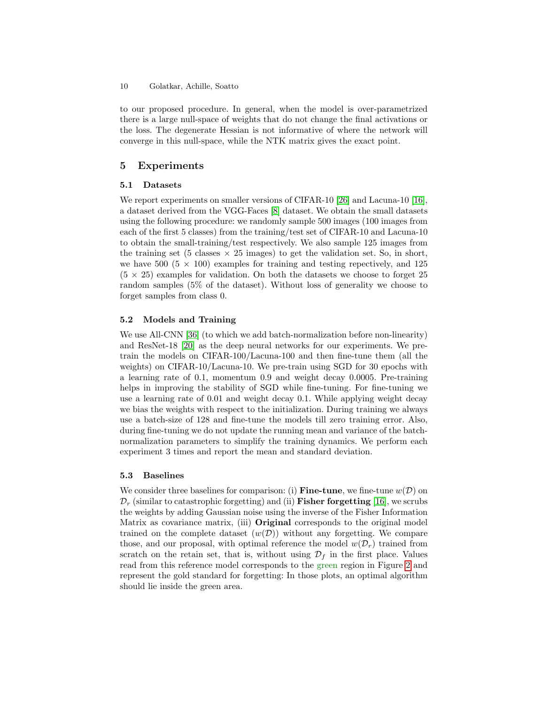to our proposed procedure. In general, when the model is over-parametrized there is a large null-space of weights that do not change the final activations or the loss. The degenerate Hessian is not informative of where the network will converge in this null-space, while the NTK matrix gives the exact point.

# <span id="page-9-0"></span>5 Experiments

### 5.1 Datasets

We report experiments on smaller versions of CIFAR-10 [\[26\]](#page-15-14) and Lacuna-10 [\[16\]](#page-14-0), a dataset derived from the VGG-Faces [\[8\]](#page-14-17) dataset. We obtain the small datasets using the following procedure: we randomly sample 500 images (100 images from each of the first 5 classes) from the training/test set of CIFAR-10 and Lacuna-10 to obtain the small-training/test respectively. We also sample 125 images from the training set (5 classes  $\times$  25 images) to get the validation set. So, in short, we have 500  $(5 \times 100)$  examples for training and testing repectively, and 125  $(5 \times 25)$  examples for validation. On both the datasets we choose to forget 25 random samples (5% of the dataset). Without loss of generality we choose to forget samples from class 0.

### 5.2 Models and Training

We use All-CNN [\[36\]](#page-15-15) (to which we add batch-normalization before non-linearity) and ResNet-18 [\[20\]](#page-15-16) as the deep neural networks for our experiments. We pretrain the models on CIFAR-100/Lacuna-100 and then fine-tune them (all the weights) on CIFAR-10/Lacuna-10. We pre-train using SGD for 30 epochs with a learning rate of 0.1, momentum 0.9 and weight decay 0.0005. Pre-training helps in improving the stability of SGD while fine-tuning. For fine-tuning we use a learning rate of 0.01 and weight decay 0.1. While applying weight decay we bias the weights with respect to the initialization. During training we always use a batch-size of 128 and fine-tune the models till zero training error. Also, during fine-tuning we do not update the running mean and variance of the batchnormalization parameters to simplify the training dynamics. We perform each experiment 3 times and report the mean and standard deviation.

#### 5.3 Baselines

We consider three baselines for comparison: (i) **Fine-tune**, we fine-tune  $w(\mathcal{D})$  on  $\mathcal{D}_r$  (similar to catastrophic forgetting) and (ii) **Fisher forgetting** [\[16\]](#page-14-0), we scrubs the weights by adding Gaussian noise using the inverse of the Fisher Information Matrix as covariance matrix, (iii) **Original** corresponds to the original model trained on the complete dataset  $(w(\mathcal{D}))$  without any forgetting. We compare those, and our proposal, with optimal reference the model  $w(\mathcal{D}_r)$  trained from scratch on the retain set, that is, without using  $\mathcal{D}_f$  in the first place. Values read from this reference model corresponds to the green region in Figure [2](#page-10-1) and represent the gold standard for forgetting: In those plots, an optimal algorithm should lie inside the green area.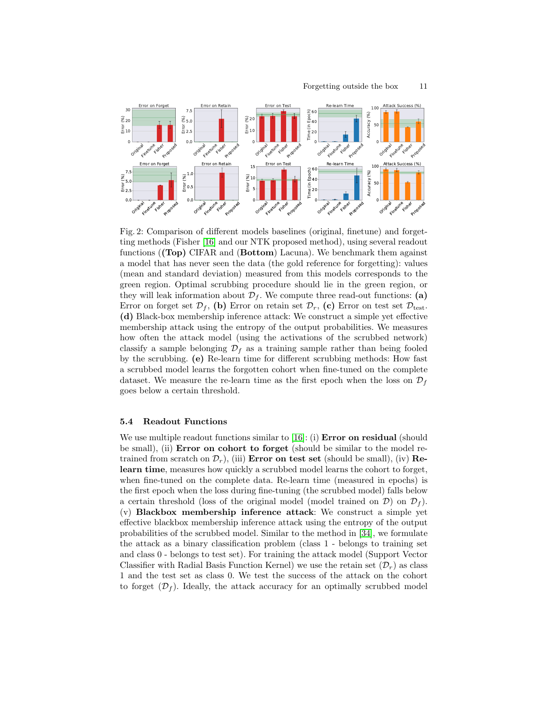<span id="page-10-1"></span>

Fig. 2: Comparison of different models baselines (original, finetune) and forgetting methods (Fisher [\[16\]](#page-14-0) and our NTK proposed method), using several readout functions  $((Top)$  CIFAR and  $(Bottom)$  Lacuna). We benchmark them against a model that has never seen the data (the gold reference for forgetting): values (mean and standard deviation) measured from this models corresponds to the green region. Optimal scrubbing procedure should lie in the green region, or they will leak information about  $\mathcal{D}_f$ . We compute three read-out functions: (a) Error on forget set  $\mathcal{D}_f$ , (b) Error on retain set  $\mathcal{D}_r$ , (c) Error on test set  $\mathcal{D}_{\text{test}}$ . (d) Black-box membership inference attack: We construct a simple yet effective membership attack using the entropy of the output probabilities. We measures how often the attack model (using the activations of the scrubbed network) classify a sample belonging  $\mathcal{D}_f$  as a training sample rather than being fooled by the scrubbing. (e) Re-learn time for different scrubbing methods: How fast a scrubbed model learns the forgotten cohort when fine-tuned on the complete dataset. We measure the re-learn time as the first epoch when the loss on  $\mathcal{D}_f$ goes below a certain threshold.

#### <span id="page-10-0"></span>5.4 Readout Functions

We use multiple readout functions similar to [\[16\]](#page-14-0): (i) **Error on residual** (should be small), (ii) Error on cohort to forget (should be similar to the model retrained from scratch on  $\mathcal{D}_r$ ), (iii) **Error on test set** (should be small), (iv) **Re**learn time, measures how quickly a scrubbed model learns the cohort to forget, when fine-tuned on the complete data. Re-learn time (measured in epochs) is the first epoch when the loss during fine-tuning (the scrubbed model) falls below a certain threshold (loss of the original model (model trained on  $\mathcal{D}$ ) on  $\mathcal{D}_f$ ). (v) Blackbox membership inference attack: We construct a simple yet effective blackbox membership inference attack using the entropy of the output probabilities of the scrubbed model. Similar to the method in [\[34\]](#page-15-6), we formulate the attack as a binary classification problem (class 1 - belongs to training set and class 0 - belongs to test set). For training the attack model (Support Vector Classifier with Radial Basis Function Kernel) we use the retain set  $(\mathcal{D}_r)$  as class 1 and the test set as class 0. We test the success of the attack on the cohort to forget  $(\mathcal{D}_f)$ . Ideally, the attack accuracy for an optimally scrubbed model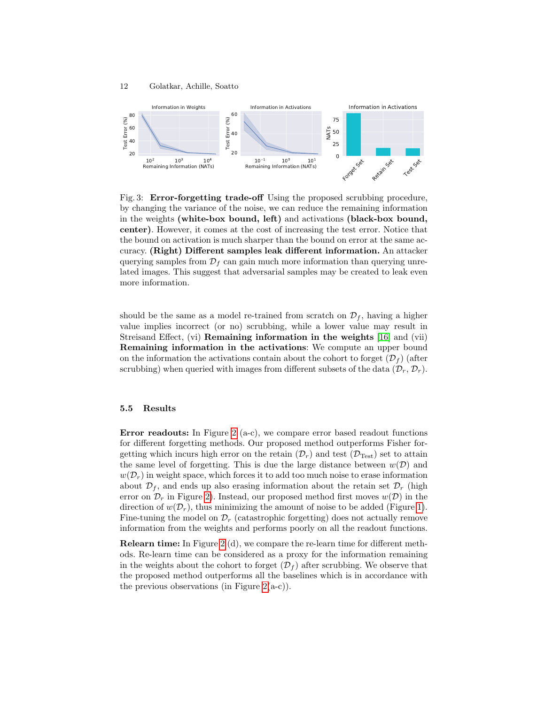<span id="page-11-0"></span>

Fig. 3: Error-forgetting trade-off Using the proposed scrubbing procedure, by changing the variance of the noise, we can reduce the remaining information in the weights (white-box bound, left) and activations (black-box bound, center). However, it comes at the cost of increasing the test error. Notice that the bound on activation is much sharper than the bound on error at the same accuracy. (Right) Different samples leak different information. An attacker querying samples from  $\mathcal{D}_f$  can gain much more information than querying unrelated images. This suggest that adversarial samples may be created to leak even more information.

should be the same as a model re-trained from scratch on  $\mathcal{D}_f$ , having a higher value implies incorrect (or no) scrubbing, while a lower value may result in Streisand Effect, (vi) Remaining information in the weights [\[16\]](#page-14-0) and (vii) Remaining information in the activations: We compute an upper bound on the information the activations contain about the cohort to forget  $(\mathcal{D}_f)$  (after scrubbing) when queried with images from different subsets of the data  $(\mathcal{D}_r, \mathcal{D}_r)$ .

#### 5.5 Results

Error readouts: In Figure [2](#page-10-1) (a-c), we compare error based readout functions for different forgetting methods. Our proposed method outperforms Fisher forgetting which incurs high error on the retain  $(\mathcal{D}_r)$  and test  $(\mathcal{D}_{Test})$  set to attain the same level of forgetting. This is due the large distance between  $w(\mathcal{D})$  and  $w(\mathcal{D}_r)$  in weight space, which forces it to add too much noise to erase information about  $\mathcal{D}_f$ , and ends up also erasing information about the retain set  $\mathcal{D}_r$  (high error on  $\mathcal{D}_r$  in Figure [2\)](#page-10-1). Instead, our proposed method first moves  $w(\mathcal{D})$  in the direction of  $w(\mathcal{D}_r)$ , thus minimizing the amount of noise to be added (Figure [1\)](#page-1-0). Fine-tuning the model on  $\mathcal{D}_r$  (catastrophic forgetting) does not actually remove information from the weights and performs poorly on all the readout functions.

Relearn time: In Figure [2](#page-10-1) (d), we compare the re-learn time for different methods. Re-learn time can be considered as a proxy for the information remaining in the weights about the cohort to forget  $(\mathcal{D}_f)$  after scrubbing. We observe that the proposed method outperforms all the baselines which is in accordance with the previous observations (in Figure [2\(](#page-10-1)a-c)).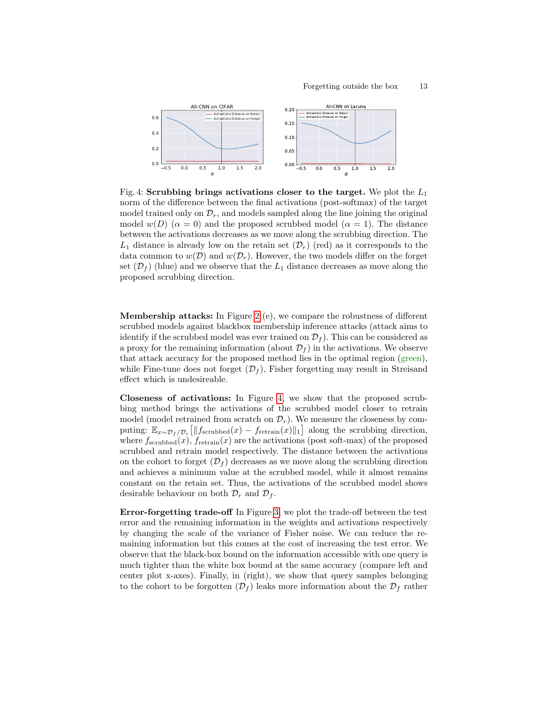<span id="page-12-0"></span>

Fig. 4: Scrubbing brings activations closer to the target. We plot the  $L_1$ norm of the difference between the final activations (post-softmax) of the target model trained only on  $\mathcal{D}_r$ , and models sampled along the line joining the original model  $w(D)$  ( $\alpha = 0$ ) and the proposed scrubbed model ( $\alpha = 1$ ). The distance between the activations decreases as we move along the scrubbing direction. The  $L_1$  distance is already low on the retain set  $(\mathcal{D}_r)$  (red) as it corresponds to the data common to  $w(\mathcal{D})$  and  $w(\mathcal{D}_r)$ . However, the two models differ on the forget set  $(\mathcal{D}_f)$  (blue) and we observe that the  $L_1$  distance decreases as move along the proposed scrubbing direction.

Membership attacks: In Figure [2](#page-10-1) (e), we compare the robustness of different scrubbed models against blackbox membership inference attacks (attack aims to identify if the scrubbed model was ever trained on  $\mathcal{D}_f$ ). This can be considered as a proxy for the remaining information (about  $\mathcal{D}_f$ ) in the activations. We observe that attack accuracy for the proposed method lies in the optimal region (green), while Fine-tune does not forget  $(\mathcal{D}_f)$ , Fisher forgetting may result in Streisand effect which is undesireable.

Closeness of activations: In Figure [4,](#page-12-0) we show that the proposed scrubbing method brings the activations of the scrubbed model closer to retrain model (model retrained from scratch on  $\mathcal{D}_r$ ). We measure the closeness by computing:  $\mathbb{E}_{x \sim \mathcal{D}_f/\mathcal{D}_r} [\|f_{\text{scrubbed}}(x) - f_{\text{retrain}}(x)\|_1]$  along the scrubbing direction, where  $f_{\text{scrubbed}}(x)$ ,  $f_{\text{retrain}}(x)$  are the activations (post soft-max) of the proposed scrubbed and retrain model respectively. The distance between the activations on the cohort to forget  $(\mathcal{D}_f)$  decreases as we move along the scrubbing direction and achieves a minimum value at the scrubbed model, while it almost remains constant on the retain set. Thus, the activations of the scrubbed model shows desirable behaviour on both  $\mathcal{D}_r$  and  $\mathcal{D}_f$ .

Error-forgetting trade-off In Figure [3,](#page-11-0) we plot the trade-off between the test error and the remaining information in the weights and activations respectively by changing the scale of the variance of Fisher noise. We can reduce the remaining information but this comes at the cost of increasing the test error. We observe that the black-box bound on the information accessible with one query is much tighter than the white box bound at the same accuracy (compare left and center plot x-axes). Finally, in (right), we show that query samples belonging to the cohort to be forgotten  $(\mathcal{D}_f)$  leaks more information about the  $\mathcal{D}_f$  rather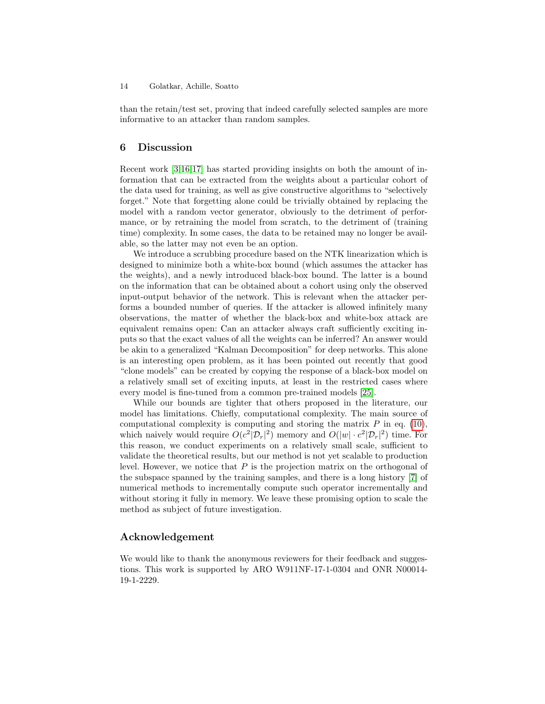#### 14 Golatkar, Achille, Soatto

than the retain/test set, proving that indeed carefully selected samples are more informative to an attacker than random samples.

# 6 Discussion

Recent work [\[3](#page-14-15)[,16](#page-14-0)[,17\]](#page-14-1) has started providing insights on both the amount of information that can be extracted from the weights about a particular cohort of the data used for training, as well as give constructive algorithms to "selectively forget." Note that forgetting alone could be trivially obtained by replacing the model with a random vector generator, obviously to the detriment of performance, or by retraining the model from scratch, to the detriment of (training time) complexity. In some cases, the data to be retained may no longer be available, so the latter may not even be an option.

We introduce a scrubbing procedure based on the NTK linearization which is designed to minimize both a white-box bound (which assumes the attacker has the weights), and a newly introduced black-box bound. The latter is a bound on the information that can be obtained about a cohort using only the observed input-output behavior of the network. This is relevant when the attacker performs a bounded number of queries. If the attacker is allowed infinitely many observations, the matter of whether the black-box and white-box attack are equivalent remains open: Can an attacker always craft sufficiently exciting inputs so that the exact values of all the weights can be inferred? An answer would be akin to a generalized "Kalman Decomposition" for deep networks. This alone is an interesting open problem, as it has been pointed out recently that good "clone models" can be created by copying the response of a black-box model on a relatively small set of exciting inputs, at least in the restricted cases where every model is fine-tuned from a common pre-trained models [\[25\]](#page-15-17).

While our bounds are tighter that others proposed in the literature, our model has limitations. Chiefly, computational complexity. The main source of computational complexity is computing and storing the matrix  $P$  in eq. [\(10\)](#page-8-2), which naively would require  $O(c^2|\mathcal{D}_r|^2)$  memory and  $O(|w| \cdot c^2|\mathcal{D}_r|^2)$  time. For this reason, we conduct experiments on a relatively small scale, sufficient to validate the theoretical results, but our method is not yet scalable to production level. However, we notice that  $P$  is the projection matrix on the orthogonal of the subspace spanned by the training samples, and there is a long history [\[7\]](#page-14-18) of numerical methods to incrementally compute such operator incrementally and without storing it fully in memory. We leave these promising option to scale the method as subject of future investigation.

# Acknowledgement

We would like to thank the anonymous reviewers for their feedback and suggestions. This work is supported by ARO W911NF-17-1-0304 and ONR N00014- 19-1-2229.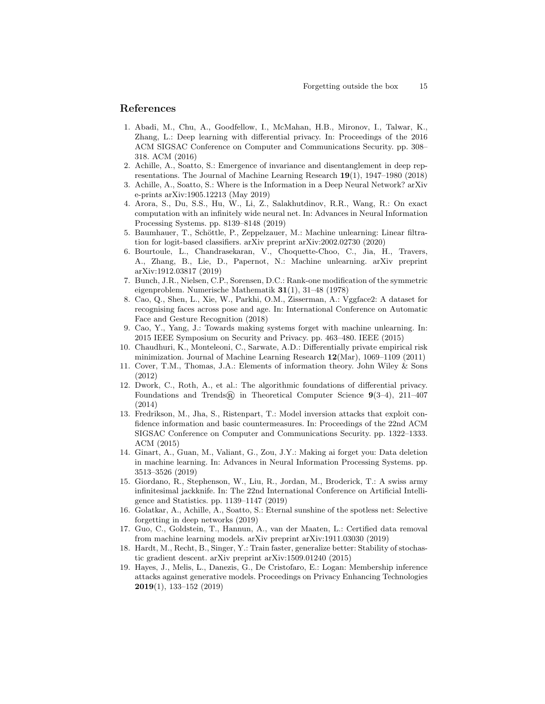# References

- <span id="page-14-3"></span>1. Abadi, M., Chu, A., Goodfellow, I., McMahan, H.B., Mironov, I., Talwar, K., Zhang, L.: Deep learning with differential privacy. In: Proceedings of the 2016 ACM SIGSAC Conference on Computer and Communications Security. pp. 308– 318. ACM (2016)
- <span id="page-14-16"></span>2. Achille, A., Soatto, S.: Emergence of invariance and disentanglement in deep representations. The Journal of Machine Learning Research 19(1), 1947–1980 (2018)
- <span id="page-14-15"></span>3. Achille, A., Soatto, S.: Where is the Information in a Deep Neural Network? arXiv e-prints arXiv:1905.12213 (May 2019)
- <span id="page-14-13"></span>4. Arora, S., Du, S.S., Hu, W., Li, Z., Salakhutdinov, R.R., Wang, R.: On exact computation with an infinitely wide neural net. In: Advances in Neural Information Processing Systems. pp. 8139–8148 (2019)
- <span id="page-14-8"></span>5. Baumhauer, T., Schöttle, P., Zeppelzauer, M.: Machine unlearning: Linear filtration for logit-based classifiers. arXiv preprint arXiv:2002.02730 (2020)
- <span id="page-14-7"></span>6. Bourtoule, L., Chandrasekaran, V., Choquette-Choo, C., Jia, H., Travers, A., Zhang, B., Lie, D., Papernot, N.: Machine unlearning. arXiv preprint arXiv:1912.03817 (2019)
- <span id="page-14-18"></span>7. Bunch, J.R., Nielsen, C.P., Sorensen, D.C.: Rank-one modification of the symmetric eigenproblem. Numerische Mathematik 31(1), 31–48 (1978)
- <span id="page-14-17"></span>8. Cao, Q., Shen, L., Xie, W., Parkhi, O.M., Zisserman, A.: Vggface2: A dataset for recognising faces across pose and age. In: International Conference on Automatic Face and Gesture Recognition (2018)
- <span id="page-14-5"></span>9. Cao, Y., Yang, J.: Towards making systems forget with machine unlearning. In: 2015 IEEE Symposium on Security and Privacy. pp. 463–480. IEEE (2015)
- <span id="page-14-4"></span>10. Chaudhuri, K., Monteleoni, C., Sarwate, A.D.: Differentially private empirical risk minimization. Journal of Machine Learning Research 12(Mar), 1069–1109 (2011)
- <span id="page-14-14"></span>11. Cover, T.M., Thomas, J.A.: Elements of information theory. John Wiley & Sons (2012)
- <span id="page-14-2"></span>12. Dwork, C., Roth, A., et al.: The algorithmic foundations of differential privacy. Foundations and Trends $(\widehat{\mathbb{R}})$  in Theoretical Computer Science 9(3-4), 211-407 (2014)
- <span id="page-14-12"></span>13. Fredrikson, M., Jha, S., Ristenpart, T.: Model inversion attacks that exploit confidence information and basic countermeasures. In: Proceedings of the 22nd ACM SIGSAC Conference on Computer and Communications Security. pp. 1322–1333. ACM (2015)
- <span id="page-14-6"></span>14. Ginart, A., Guan, M., Valiant, G., Zou, J.Y.: Making ai forget you: Data deletion in machine learning. In: Advances in Neural Information Processing Systems. pp. 3513–3526 (2019)
- <span id="page-14-9"></span>15. Giordano, R., Stephenson, W., Liu, R., Jordan, M., Broderick, T.: A swiss army infinitesimal jackknife. In: The 22nd International Conference on Artificial Intelligence and Statistics. pp. 1139–1147 (2019)
- <span id="page-14-0"></span>16. Golatkar, A., Achille, A., Soatto, S.: Eternal sunshine of the spotless net: Selective forgetting in deep networks (2019)
- <span id="page-14-1"></span>17. Guo, C., Goldstein, T., Hannun, A., van der Maaten, L.: Certified data removal from machine learning models. arXiv preprint arXiv:1911.03030 (2019)
- <span id="page-14-10"></span>18. Hardt, M., Recht, B., Singer, Y.: Train faster, generalize better: Stability of stochastic gradient descent. arXiv preprint arXiv:1509.01240 (2015)
- <span id="page-14-11"></span>19. Hayes, J., Melis, L., Danezis, G., De Cristofaro, E.: Logan: Membership inference attacks against generative models. Proceedings on Privacy Enhancing Technologies 2019(1), 133–152 (2019)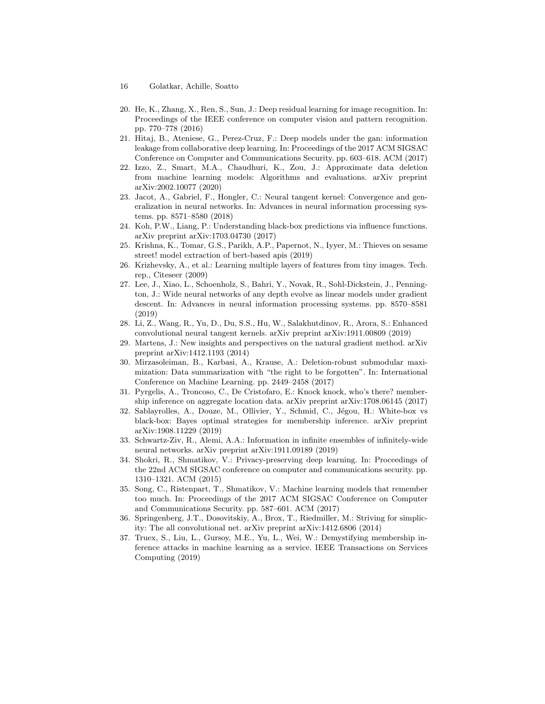- 16 Golatkar, Achille, Soatto
- <span id="page-15-16"></span>20. He, K., Zhang, X., Ren, S., Sun, J.: Deep residual learning for image recognition. In: Proceedings of the IEEE conference on computer vision and pattern recognition. pp. 770–778 (2016)
- <span id="page-15-4"></span>21. Hitaj, B., Ateniese, G., Perez-Cruz, F.: Deep models under the gan: information leakage from collaborative deep learning. In: Proceedings of the 2017 ACM SIGSAC Conference on Computer and Communications Security. pp. 603–618. ACM (2017)
- <span id="page-15-1"></span>22. Izzo, Z., Smart, M.A., Chaudhuri, K., Zou, J.: Approximate data deletion from machine learning models: Algorithms and evaluations. arXiv preprint arXiv:2002.10077 (2020)
- <span id="page-15-9"></span>23. Jacot, A., Gabriel, F., Hongler, C.: Neural tangent kernel: Convergence and generalization in neural networks. In: Advances in neural information processing systems. pp. 8571–8580 (2018)
- <span id="page-15-2"></span>24. Koh, P.W., Liang, P.: Understanding black-box predictions via influence functions. arXiv preprint arXiv:1703.04730 (2017)
- <span id="page-15-17"></span>25. Krishna, K., Tomar, G.S., Parikh, A.P., Papernot, N., Iyyer, M.: Thieves on sesame street! model extraction of bert-based apis (2019)
- <span id="page-15-14"></span>26. Krizhevsky, A., et al.: Learning multiple layers of features from tiny images. Tech. rep., Citeseer (2009)
- <span id="page-15-10"></span>27. Lee, J., Xiao, L., Schoenholz, S., Bahri, Y., Novak, R., Sohl-Dickstein, J., Pennington, J.: Wide neural networks of any depth evolve as linear models under gradient descent. In: Advances in neural information processing systems. pp. 8570–8581 (2019)
- <span id="page-15-11"></span>28. Li, Z., Wang, R., Yu, D., Du, S.S., Hu, W., Salakhutdinov, R., Arora, S.: Enhanced convolutional neural tangent kernels. arXiv preprint arXiv:1911.00809 (2019)
- <span id="page-15-13"></span>29. Martens, J.: New insights and perspectives on the natural gradient method. arXiv preprint arXiv:1412.1193 (2014)
- <span id="page-15-0"></span>30. Mirzasoleiman, B., Karbasi, A., Krause, A.: Deletion-robust submodular maximization: Data summarization with "the right to be forgotten". In: International Conference on Machine Learning. pp. 2449–2458 (2017)
- <span id="page-15-5"></span>31. Pyrgelis, A., Troncoso, C., De Cristofaro, E.: Knock knock, who's there? membership inference on aggregate location data. arXiv preprint arXiv:1708.06145 (2017)
- <span id="page-15-8"></span>32. Sablayrolles, A., Douze, M., Ollivier, Y., Schmid, C., Jégou, H.: White-box vs black-box: Bayes optimal strategies for membership inference. arXiv preprint arXiv:1908.11229 (2019)
- <span id="page-15-12"></span>33. Schwartz-Ziv, R., Alemi, A.A.: Information in infinite ensembles of infinitely-wide neural networks. arXiv preprint arXiv:1911.09189 (2019)
- <span id="page-15-6"></span>34. Shokri, R., Shmatikov, V.: Privacy-preserving deep learning. In: Proceedings of the 22nd ACM SIGSAC conference on computer and communications security. pp. 1310–1321. ACM (2015)
- <span id="page-15-7"></span>35. Song, C., Ristenpart, T., Shmatikov, V.: Machine learning models that remember too much. In: Proceedings of the 2017 ACM SIGSAC Conference on Computer and Communications Security. pp. 587–601. ACM (2017)
- <span id="page-15-15"></span>36. Springenberg, J.T., Dosovitskiy, A., Brox, T., Riedmiller, M.: Striving for simplicity: The all convolutional net. arXiv preprint arXiv:1412.6806 (2014)
- <span id="page-15-3"></span>37. Truex, S., Liu, L., Gursoy, M.E., Yu, L., Wei, W.: Demystifying membership inference attacks in machine learning as a service. IEEE Transactions on Services Computing (2019)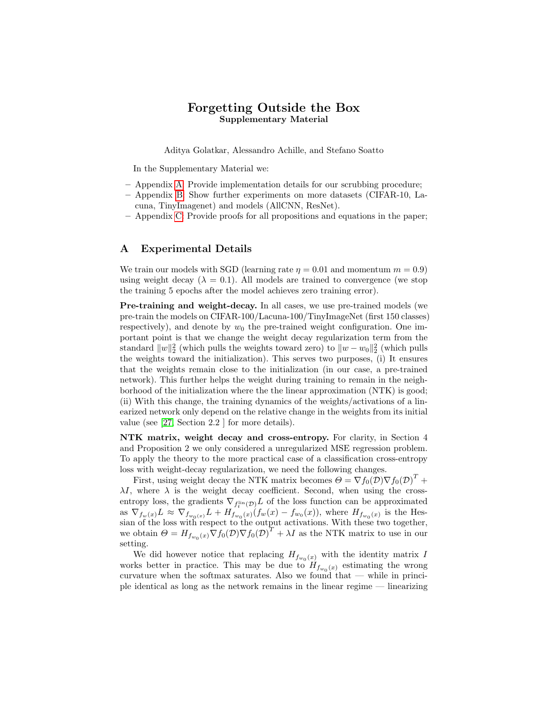# Forgetting Outside the Box Supplementary Material

Aditya Golatkar, Alessandro Achille, and Stefano Soatto

In the Supplementary Material we:

- Appendix [A:](#page-16-0) Provide implementation details for our scrubbing procedure;
- Appendix [B:](#page-17-0) Show further experiments on more datasets (CIFAR-10, Lacuna, TinyImagenet) and models (AllCNN, ResNet).
- Appendix [C:](#page-18-0) Provide proofs for all propositions and equations in the paper;

# <span id="page-16-0"></span>A Experimental Details

We train our models with SGD (learning rate  $\eta = 0.01$  and momentum  $m = 0.9$ ) using weight decay ( $\lambda = 0.1$ ). All models are trained to convergence (we stop the training 5 epochs after the model achieves zero training error).

Pre-training and weight-decay. In all cases, we use pre-trained models (we pre-train the models on CIFAR-100/Lacuna-100/TinyImageNet (first 150 classes) respectively), and denote by  $w_0$  the pre-trained weight configuration. One important point is that we change the weight decay regularization term from the standard  $||w||_2^2$  (which pulls the weights toward zero) to  $||w - w_0||_2^2$  (which pulls the weights toward the initialization). This serves two purposes, (i) It ensures that the weights remain close to the initialization (in our case, a pre-trained network). This further helps the weight during training to remain in the neighborhood of the initialization where the the linear approximation (NTK) is good; (ii) With this change, the training dynamics of the weights/activations of a linearized network only depend on the relative change in the weights from its initial value (see [\[27,](#page-15-10) Section 2.2 ] for more details).

NTK matrix, weight decay and cross-entropy. For clarity, in Section 4 and Proposition 2 we only considered a unregularized MSE regression problem. To apply the theory to the more practical case of a classification cross-entropy loss with weight-decay regularization, we need the following changes.

First, using weight decay the NTK matrix becomes  $\Theta = \nabla f_0(\mathcal{D}) \nabla f_0(\mathcal{D})^T +$  $\lambda I$ , where  $\lambda$  is the weight decay coefficient. Second, when using the crossentropy loss, the gradients  $\nabla_{f_i^{\text{lin}}(\mathcal{D})} L$  of the loss function can be approximated as  $\nabla_{f_w(x)}^{\bullet} L \approx \nabla_{f_{w_0(x)}}^{\bullet} L + H_{f_{w_0}(x)}^{\bullet} (f_w(x) - f_{w_0}(x)),$  where  $H_{f_{w_0}(x)}$  is the Hessian of the loss with respect to the output activations. With these two together, we obtain  $\Theta = H_{f_{w_0}(x)} \nabla f_0(\mathcal{D}) \nabla f_0(\mathcal{D})^T + \lambda I$  as the NTK matrix to use in our setting.

We did however notice that replacing  $H_{f_{w_0}(x)}$  with the identity matrix I works better in practice. This may be due to  $H_{f_{w_0}(x)}$  estimating the wrong curvature when the softmax saturates. Also we found that  $-$  while in principle identical as long as the network remains in the linear regime — linearizing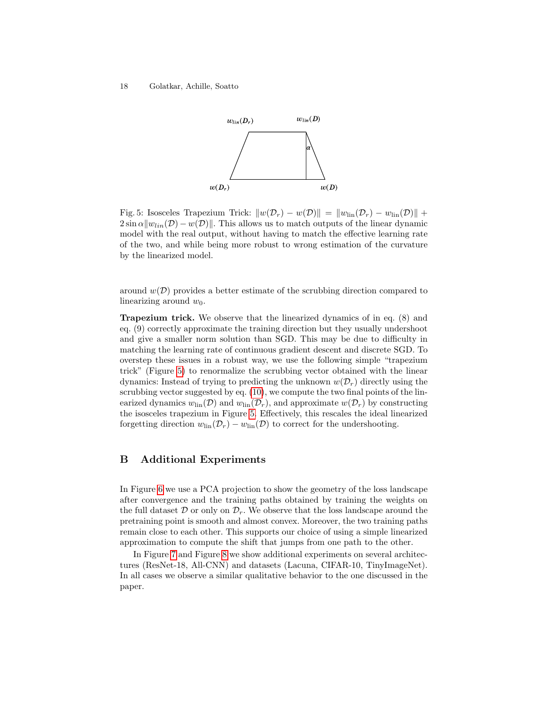<span id="page-17-1"></span>

Fig. 5: Isosceles Trapezium Trick:  $||w(\mathcal{D}_r) - w(\mathcal{D})|| = ||w_{lin}(\mathcal{D}_r) - w_{lin}(\mathcal{D})|| +$  $2 \sin \alpha ||w_{lin}(\mathcal{D}) - w(\mathcal{D})||$ . This allows us to match outputs of the linear dynamic model with the real output, without having to match the effective learning rate of the two, and while being more robust to wrong estimation of the curvature by the linearized model.

around  $w(\mathcal{D})$  provides a better estimate of the scrubbing direction compared to linearizing around  $w_0$ .

Trapezium trick. We observe that the linearized dynamics of in eq. (8) and eq. (9) correctly approximate the training direction but they usually undershoot and give a smaller norm solution than SGD. This may be due to difficulty in matching the learning rate of continuous gradient descent and discrete SGD. To overstep these issues in a robust way, we use the following simple "trapezium trick" (Figure [5\)](#page-17-1) to renormalize the scrubbing vector obtained with the linear dynamics: Instead of trying to predicting the unknown  $w(\mathcal{D}_r)$  directly using the scrubbing vector suggested by eq.  $(10)$ , we compute the two final points of the linearized dynamics  $w_{lin}(\mathcal{D})$  and  $w_{lin}(\mathcal{D}_r)$ , and approximate  $w(\mathcal{D}_r)$  by constructing the isosceles trapezium in Figure [5.](#page-17-1) Effectively, this rescales the ideal linearized forgetting direction  $w_{\text{lin}}(\mathcal{D}_r) - w_{\text{lin}}(\mathcal{D})$  to correct for the undershooting.

# <span id="page-17-0"></span>B Additional Experiments

In Figure [6](#page-18-1) we use a PCA projection to show the geometry of the loss landscape after convergence and the training paths obtained by training the weights on the full dataset  $\mathcal D$  or only on  $\mathcal D_r$ . We observe that the loss landscape around the pretraining point is smooth and almost convex. Moreover, the two training paths remain close to each other. This supports our choice of using a simple linearized approximation to compute the shift that jumps from one path to the other.

In Figure [7](#page-19-0) and Figure [8](#page-20-0) we show additional experiments on several architectures (ResNet-18, All-CNN) and datasets (Lacuna, CIFAR-10, TinyImageNet). In all cases we observe a similar qualitative behavior to the one discussed in the paper.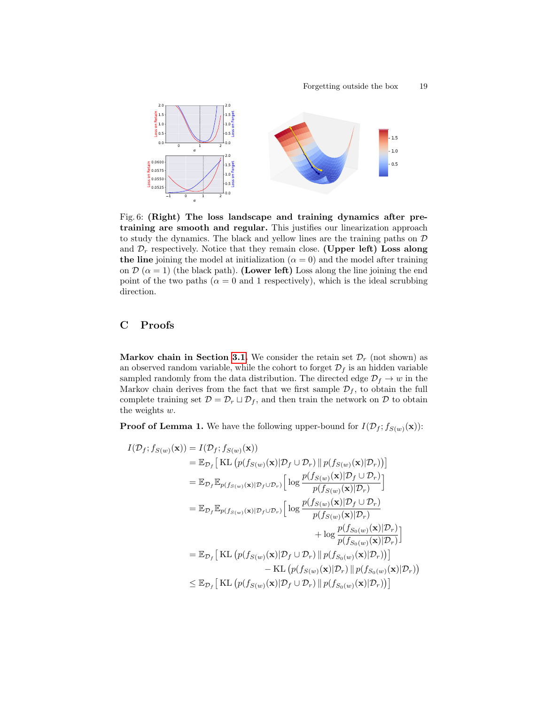<span id="page-18-1"></span>

Fig. 6: (Right) The loss landscape and training dynamics after pretraining are smooth and regular. This justifies our linearization approach to study the dynamics. The black and yellow lines are the training paths on  $D$ and  $\mathcal{D}_r$  respectively. Notice that they remain close. (Upper left) Loss along the line joining the model at initialization ( $\alpha = 0$ ) and the model after training on  $\mathcal{D}(\alpha = 1)$  (the black path). (Lower left) Loss along the line joining the end point of the two paths ( $\alpha = 0$  and 1 respectively), which is the ideal scrubbing direction.

# <span id="page-18-0"></span>C Proofs

Markov chain in Section [3.1.](#page-4-0) We consider the retain set  $\mathcal{D}_r$  (not shown) as an observed random variable, while the cohort to forget  $\mathcal{D}_f$  is an hidden variable sampled randomly from the data distribution. The directed edge  $\mathcal{D}_f \to w$  in the Markov chain derives from the fact that we first sample  $\mathcal{D}_f$ , to obtain the full complete training set  $\mathcal{D} = \mathcal{D}_r \sqcup \mathcal{D}_f$ , and then train the network on  $\mathcal D$  to obtain the weights w.

**Proof of Lemma 1.** We have the following upper-bound for  $I(\mathcal{D}_f; f_{S(w)}(\mathbf{x}))$ :

$$
I(\mathcal{D}_{f}; f_{S(w)}(\mathbf{x})) = I(\mathcal{D}_{f}; f_{S(w)}(\mathbf{x}))
$$
  
\n
$$
= \mathbb{E}_{\mathcal{D}_{f}} [\text{KL}(p(f_{S(w)}(\mathbf{x})|\mathcal{D}_{f} \cup \mathcal{D}_{r}) || p(f_{S(w)}(\mathbf{x})|\mathcal{D}_{r}))]
$$
  
\n
$$
= \mathbb{E}_{\mathcal{D}_{f}} \mathbb{E}_{p(f_{S(w)}(\mathbf{x})|\mathcal{D}_{f} \cup \mathcal{D}_{r})} [\log \frac{p(f_{S(w)}(\mathbf{x})|\mathcal{D}_{f} \cup \mathcal{D}_{r})}{p(f_{S(w)}(\mathbf{x})|\mathcal{D}_{r})}]
$$
  
\n
$$
= \mathbb{E}_{\mathcal{D}_{f}} \mathbb{E}_{p(f_{S(w)}(\mathbf{x})|\mathcal{D}_{f} \cup \mathcal{D}_{r})} [\log \frac{p(f_{S(w)}(\mathbf{x})|\mathcal{D}_{f} \cup \mathcal{D}_{r})}{p(f_{S(w)}(\mathbf{x})|\mathcal{D}_{r})} + \log \frac{p(f_{S(w)}(\mathbf{x})|\mathcal{D}_{r})}{p(f_{S_{0}(w)}(\mathbf{x})|\mathcal{D}_{r})}]
$$
  
\n
$$
= \mathbb{E}_{\mathcal{D}_{f}} [\text{KL}(p(f_{S(w)}(\mathbf{x})|\mathcal{D}_{f} \cup \mathcal{D}_{r}) || p(f_{S_{0}(w)}(\mathbf{x})|\mathcal{D}_{r}))]
$$
  
\n
$$
- \text{KL}(p(f_{S(w)}(\mathbf{x})|\mathcal{D}_{r}) || p(f_{S_{0}(w)}(\mathbf{x})|\mathcal{D}_{r}))]
$$
  
\n
$$
\leq \mathbb{E}_{\mathcal{D}_{f}} [\text{KL}(p(f_{S(w)}(\mathbf{x})|\mathcal{D}_{f} \cup \mathcal{D}_{r}) || p(f_{S_{0}(w)}(\mathbf{x})|\mathcal{D}_{r}))]
$$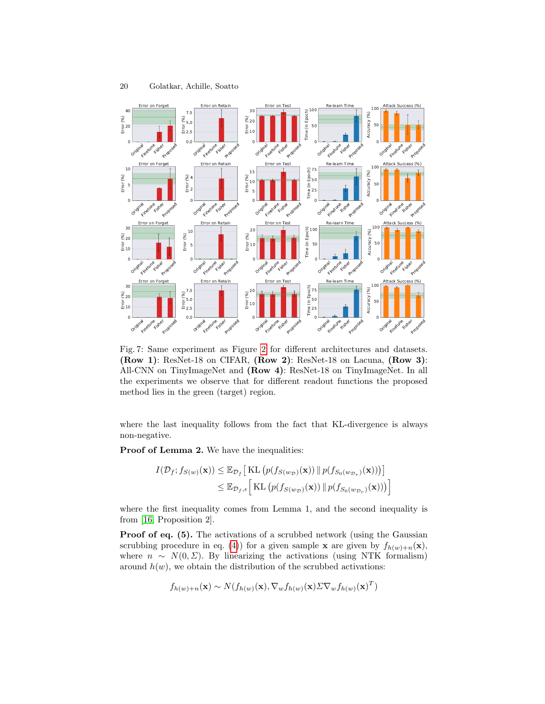<span id="page-19-0"></span>

Fig. 7: Same experiment as Figure [2](#page-10-1) for different architectures and datasets. (Row 1): ResNet-18 on CIFAR, (Row 2): ResNet-18 on Lacuna, (Row 3): All-CNN on TinyImageNet and (Row 4): ResNet-18 on TinyImageNet. In all the experiments we observe that for different readout functions the proposed method lies in the green (target) region.

where the last inequality follows from the fact that KL-divergence is always non-negative.

Proof of Lemma 2. We have the inequalities:

$$
I(\mathcal{D}_f; f_{S(w)}(\mathbf{x})) \leq \mathbb{E}_{\mathcal{D}_f} \big[ \text{KL} \big( p(f_{S(w_{\mathcal{D}})}(\mathbf{x})) \, \| \, p(f_{S_0(w_{\mathcal{D}_r})}(\mathbf{x})) \big) \big]
$$
  

$$
\leq \mathbb{E}_{\mathcal{D}_f, \epsilon} \bigg[ \text{KL} \big( p(f_{S(w_{\mathcal{D}})}(\mathbf{x})) \, \| \, p(f_{S_0(w_{\mathcal{D}_r})}(\mathbf{x})) \big) \bigg]
$$

where the first inequality comes from Lemma 1, and the second inequality is from [\[16,](#page-14-0) Proposition 2].

Proof of eq. (5). The activations of a scrubbed network (using the Gaussian scrubbing procedure in eq. [\(4\)](#page-6-3)) for a given sample **x** are given by  $f_{h(w)+n}(\mathbf{x})$ , where  $n \sim N(0, \Sigma)$ . By linearizing the activations (using NTK formalism) around  $h(w)$ , we obtain the distribution of the scrubbed activations:

$$
f_{h(w)+n}(\mathbf{x}) \sim N(f_{h(w)}(\mathbf{x}), \nabla_w f_{h(w)}(\mathbf{x}) \Sigma \nabla_w f_{h(w)}(\mathbf{x})^T)
$$

 $\overline{a}$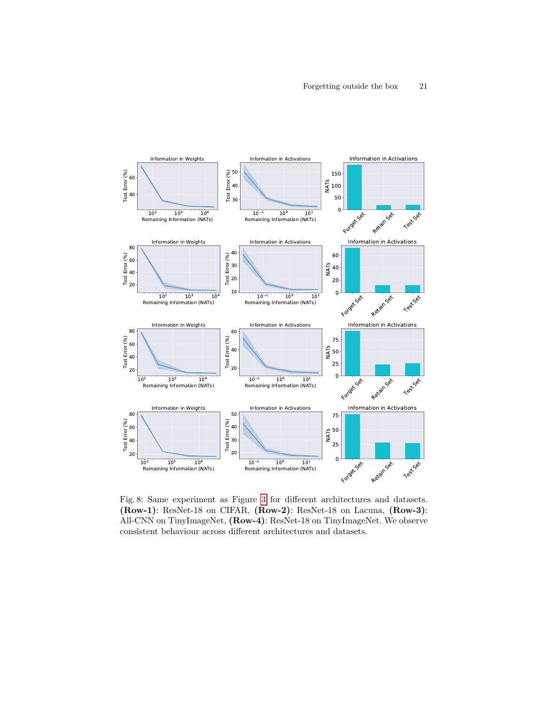<span id="page-20-0"></span>

Fig. 8: Same experiment as Figure [3](#page-11-0) for different architectures and datasets. (Row-1): ResNet-18 on CIFAR, (Row-2): ResNet-18 on Lacuna, (Row-3): All-CNN on TinyImageNet, (Row-4): ResNet-18 on TinyImageNet. We observe consistent behaviour across different architectures and datasets.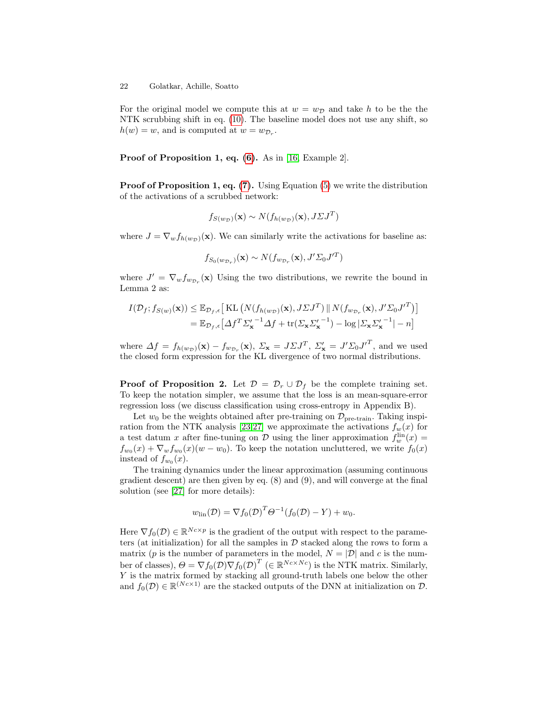#### 22 Golatkar, Achille, Soatto

For the original model we compute this at  $w = w_{\mathcal{D}}$  and take h to be the the NTK scrubbing shift in eq. [\(10\)](#page-8-2). The baseline model does not use any shift, so  $h(w) = w$ , and is computed at  $w = w_{\mathcal{D}_r}$ .

Proof of Proposition 1, eq. [\(6\)](#page-6-1). As in [\[16,](#page-14-0) Example 2].

Proof of Proposition 1, eq. [\(7\)](#page-6-2). Using Equation [\(5\)](#page-6-4) we write the distribution of the activations of a scrubbed network:

$$
f_{S(w_{\mathcal{D}})}(\mathbf{x}) \sim N(f_{h(w_{\mathcal{D}})}(\mathbf{x}), J\Sigma J^T)
$$

where  $J = \nabla_w f_{h(w_D)}(\mathbf{x})$ . We can similarly write the activations for baseline as:

$$
f_{S_0(w_{\mathcal{D}_r})}(\mathbf{x}) \sim N(f_{w_{\mathcal{D}_r}}(\mathbf{x}), J'\Sigma_0 J'^T)
$$

where  $J' = \nabla_w f_{w_{\mathcal{D}_r}}(\mathbf{x})$  Using the two distributions, we rewrite the bound in Lemma 2 as:

$$
I(\mathcal{D}_f; f_{S(w)}(\mathbf{x})) \leq \mathbb{E}_{\mathcal{D}_f, \epsilon} \left[ \mathrm{KL} \left( N(f_{h(w_{\mathcal{D}})}(\mathbf{x}), J\Sigma J^T) \, \| \, N(f_{w_{\mathcal{D}_r}}(\mathbf{x}), J'\Sigma_0 J'^T) \right) \right]
$$
  
=  $\mathbb{E}_{\mathcal{D}_f, \epsilon} \left[ \Delta f^T \Sigma_{\mathbf{x}}'^{-1} \Delta f + \mathrm{tr}(\Sigma_{\mathbf{x}} {\Sigma_{\mathbf{x}}'}^{-1}) - \log |\Sigma_{\mathbf{x}} {\Sigma_{\mathbf{x}}'}^{-1}| - n \right]$ 

where  $\Delta f = f_{h(w_{\mathcal{D}})}(\mathbf{x}) - f_{w_{\mathcal{D}_r}}(\mathbf{x}), \ \Sigma_{\mathbf{x}} = J\Sigma J^T, \ \Sigma_{\mathbf{x}}' = J'\Sigma_0 J'^T$ , and we used the closed form expression for the KL divergence of two normal distributions.

**Proof of Proposition 2.** Let  $\mathcal{D} = \mathcal{D}_r \cup \mathcal{D}_f$  be the complete training set. To keep the notation simpler, we assume that the loss is an mean-square-error regression loss (we discuss classification using cross-entropy in Appendix B).

Let  $w_0$  be the weights obtained after pre-training on  $\mathcal{D}_{pre-train}$ . Taking inspi-ration from the NTK analysis [\[23](#page-15-9)[,27\]](#page-15-10) we approximate the activations  $f_w(x)$  for a test datum x after fine-tuning on  $\mathcal D$  using the liner approximation  $f_w^{\text{lin}}(x) =$  $f_{w_0}(x) + \nabla_w f_{w_0}(x) (w - w_0)$ . To keep the notation uncluttered, we write  $f_0(x)$ instead of  $f_{w_0}(x)$ .

The training dynamics under the linear approximation (assuming continuous gradient descent) are then given by eq. (8) and (9), and will converge at the final solution (see [\[27\]](#page-15-10) for more details):

$$
w_{\text{lin}}(\mathcal{D}) = \nabla f_0(\mathcal{D})^T \Theta^{-1} (f_0(\mathcal{D}) - Y) + w_0.
$$

Here  $\nabla f_0(\mathcal{D}) \in \mathbb{R}^{Nc \times p}$  is the gradient of the output with respect to the parameters (at initialization) for all the samples in  $D$  stacked along the rows to form a matrix (p is the number of parameters in the model,  $N = |\mathcal{D}|$  and c is the number of classes),  $\Theta = \nabla f_0(\mathcal{D}) \nabla f_0(\mathcal{D})^T$  ( $\in \mathbb{R}^{N_c \times N_c}$ ) is the NTK matrix. Similarly,  $Y$  is the matrix formed by stacking all ground-truth labels one below the other and  $f_0(\mathcal{D}) \in \mathbb{R}^{(N_c \times 1)}$  are the stacked outputs of the DNN at initialization on  $\mathcal{D}$ .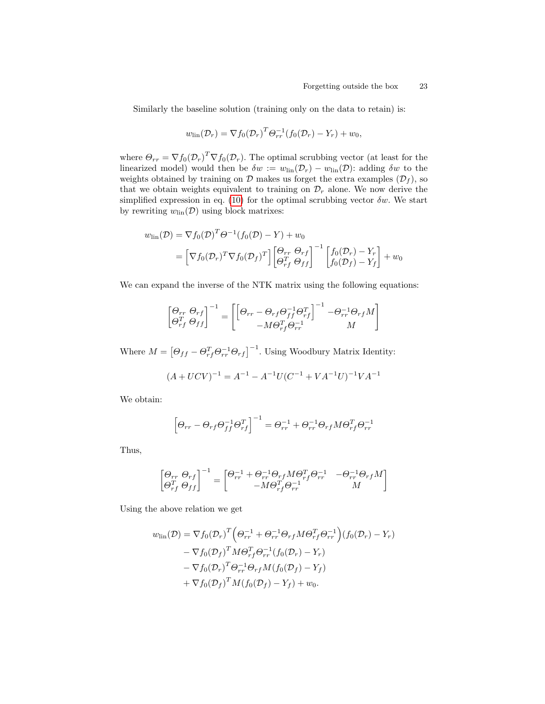Similarly the baseline solution (training only on the data to retain) is:

$$
w_{\text{lin}}(\mathcal{D}_r) = \nabla f_0(\mathcal{D}_r)^T \Theta_{rr}^{-1} (f_0(\mathcal{D}_r) - Y_r) + w_0,
$$

where  $\Theta_{rr} = \nabla f_0(\mathcal{D}_r)^T \nabla f_0(\mathcal{D}_r)$ . The optimal scrubbing vector (at least for the linearized model) would then be  $\delta w := w_{\text{lin}}(\mathcal{D}_r) - w_{\text{lin}}(\mathcal{D})$ : adding  $\delta w$  to the weights obtained by training on  $D$  makes us forget the extra examples  $(\mathcal{D}_f)$ , so that we obtain weights equivalent to training on  $\mathcal{D}_r$  alone. We now derive the simplified expression in eq. [\(10\)](#page-8-2) for the optimal scrubbing vector  $\delta w$ . We start by rewriting  $w_{lin}(\mathcal{D})$  using block matrixes:

$$
w_{\text{lin}}(\mathcal{D}) = \nabla f_0(\mathcal{D})^T \Theta^{-1} (f_0(\mathcal{D}) - Y) + w_0
$$
  
= 
$$
\left[ \nabla f_0(\mathcal{D}_r)^T \nabla f_0(\mathcal{D}_f)^T \right] \begin{bmatrix} \Theta_{rr} & \Theta_{rf} \\ \Theta_{rf}^T & \Theta_{ff} \end{bmatrix}^{-1} \begin{bmatrix} f_0(\mathcal{D}_r) - Y_r \\ f_0(\mathcal{D}_f) - Y_f \end{bmatrix} + w_0
$$

We can expand the inverse of the NTK matrix using the following equations:

$$
\begin{bmatrix} \Theta_{rr} & \Theta_{rf} \\ \Theta_{rf}^T & \Theta_{ff} \end{bmatrix}^{-1} = \begin{bmatrix} \left[ \Theta_{rr} - \Theta_{rf} \Theta_{ff}^{-1} \Theta_{rf}^T \right]^{-1} - \Theta_{rr}^{-1} \Theta_{rf} M \\ - M \Theta_{rf}^T \Theta_{rr}^{-1} & M \end{bmatrix}
$$

Where  $M = \left[\Theta_{ff} - \Theta_{rf}^T \Theta_{rr}^{-1} \Theta_{rf}\right]^{-1}$ . Using Woodbury Matrix Identity:

$$
(A + UCV)^{-1} = A^{-1} - A^{-1}U(C^{-1} + VA^{-1}U)^{-1}VA^{-1}
$$

We obtain:

$$
\left[\Theta_{rr} - \Theta_{rf}\Theta_{ff}^{-1}\Theta_{rf}^T\right]^{-1} = \Theta_{rr}^{-1} + \Theta_{rr}^{-1}\Theta_{rf}M\Theta_{rf}^T\Theta_{rr}^{-1}
$$

Thus,

$$
\begin{bmatrix} \Theta_{rr} & \Theta_{rf} \\ \Theta_{rf}^T & \Theta_{ff} \end{bmatrix}^{-1} = \begin{bmatrix} \Theta_{rr}^{-1} + \Theta_{rr}^{-1} \Theta_{rf} M \Theta_{rf}^T \Theta_{rr}^{-1} & -\Theta_{rr}^{-1} \Theta_{rf} M \\ -M \Theta_{rf}^T \Theta_{rr}^{-1} & M \end{bmatrix}
$$

Using the above relation we get

$$
w_{\text{lin}}(\mathcal{D}) = \nabla f_0(\mathcal{D}_r)^T \Big(\Theta_{rr}^{-1} + \Theta_{rr}^{-1} \Theta_{rf} M \Theta_{rf}^T \Theta_{rr}^{-1}\Big) (f_0(\mathcal{D}_r) - Y_r)
$$
  

$$
- \nabla f_0(\mathcal{D}_f)^T M \Theta_{rf}^T \Theta_{rr}^{-1} (f_0(\mathcal{D}_r) - Y_r)
$$
  

$$
- \nabla f_0(\mathcal{D}_r)^T \Theta_{rr}^{-1} \Theta_{rf} M (f_0(\mathcal{D}_f) - Y_f)
$$
  

$$
+ \nabla f_0(\mathcal{D}_f)^T M (f_0(\mathcal{D}_f) - Y_f) + w_0.
$$